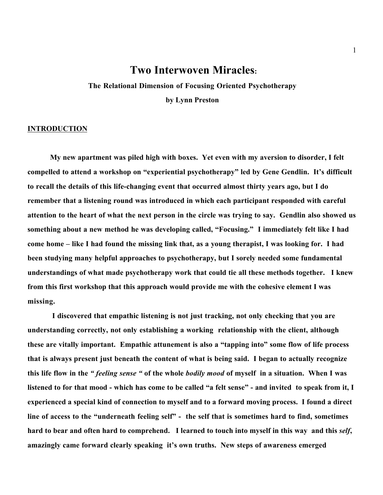# Two Interwoven Miracles:

The Relational Dimension of Focusing Oriented Psychotherapy by Lynn Preston

#### INTRODUCTION

My new apartment was piled high with boxes. Yet even with my aversion to disorder, I felt compelled to attend a workshop on "experiential psychotherapy" led by Gene Gendlin. It's difficult to recall the details of this life-changing event that occurred almost thirty years ago, but I do remember that a listening round was introduced in which each participant responded with careful attention to the heart of what the next person in the circle was trying to say. Gendlin also showed us something about a new method he was developing called, "Focusing." I immediately felt like I had come home – like I had found the missing link that, as a young therapist, I was looking for. I had been studying many helpful approaches to psychotherapy, but I sorely needed some fundamental understandings of what made psychotherapy work that could tie all these methods together. I knew from this first workshop that this approach would provide me with the cohesive element I was missing.

I discovered that empathic listening is not just tracking, not only checking that you are understanding correctly, not only establishing a working relationship with the client, although these are vitally important. Empathic attunement is also a "tapping into" some flow of life process that is always present just beneath the content of what is being said. I began to actually recognize this life flow in the *" feeling sense "* of the whole *bodily mood* of myself in a situation. When I was listened to for that mood - which has come to be called "a felt sense" - and invited to speak from it, I experienced a special kind of connection to myself and to a forward moving process. I found a direct line of access to the "underneath feeling self" - the self that is sometimes hard to find, sometimes hard to bear and often hard to comprehend. I learned to touch into myself in this way and this *self*, amazingly came forward clearly speaking it's own truths. New steps of awareness emerged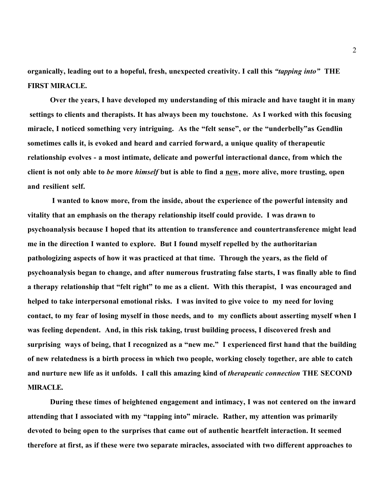organically, leading out to a hopeful, fresh, unexpected creativity. I call this *"tapping into"* THE FIRST MIRACLE.

Over the years, I have developed my understanding of this miracle and have taught it in many settings to clients and therapists. It has always been my touchstone. As I worked with this focusing miracle, I noticed something very intriguing. As the "felt sense", or the "underbelly"as Gendlin sometimes calls it, is evoked and heard and carried forward, a unique quality of therapeutic relationship evolves - a most intimate, delicate and powerful interactional dance, from which the client is not only able to *be* more *himself* but is able to find a new, more alive, more trusting, open and resilient self.

I wanted to know more, from the inside, about the experience of the powerful intensity and vitality that an emphasis on the therapy relationship itself could provide. I was drawn to psychoanalysis because I hoped that its attention to transference and countertransference might lead me in the direction I wanted to explore. But I found myself repelled by the authoritarian pathologizing aspects of how it was practiced at that time. Through the years, as the field of psychoanalysis began to change, and after numerous frustrating false starts, I was finally able to find a therapy relationship that "felt right" to me as a client. With this therapist, I was encouraged and helped to take interpersonal emotional risks. I was invited to give voice to my need for loving contact, to my fear of losing myself in those needs, and to my conflicts about asserting myself when I was feeling dependent. And, in this risk taking, trust building process, I discovered fresh and surprising ways of being, that I recognized as a "new me." I experienced first hand that the building of new relatedness is a birth process in which two people, working closely together, are able to catch and nurture new life as it unfolds. I call this amazing kind of *therapeutic connection* THE SECOND MIRACLE.

During these times of heightened engagement and intimacy, I was not centered on the inward attending that I associated with my "tapping into" miracle. Rather, my attention was primarily devoted to being open to the surprises that came out of authentic heartfelt interaction. It seemed therefore at first, as if these were two separate miracles, associated with two different approaches to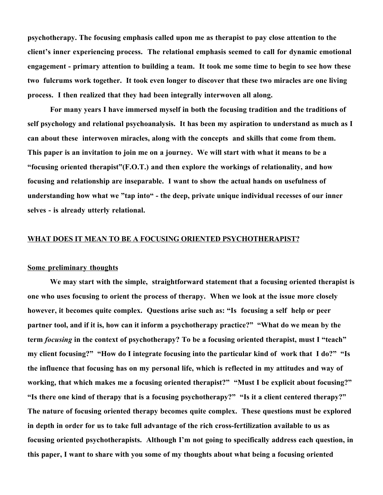psychotherapy. The focusing emphasis called upon me as therapist to pay close attention to the client's inner experiencing process. The relational emphasis seemed to call for dynamic emotional engagement - primary attention to building a team. It took me some time to begin to see how these two fulcrums work together. It took even longer to discover that these two miracles are one living process. I then realized that they had been integrally interwoven all along.

For many years I have immersed myself in both the focusing tradition and the traditions of self psychology and relational psychoanalysis. It has been my aspiration to understand as much as I can about these interwoven miracles, along with the concepts and skills that come from them. This paper is an invitation to join me on a journey. We will start with what it means to be a "focusing oriented therapist"(F.O.T.) and then explore the workings of relationality, and how focusing and relationship are inseparable. I want to show the actual hands on usefulness of understanding how what we "tap into" - the deep, private unique individual recesses of our inner selves - is already utterly relational.

### WHAT DOES IT MEAN TO BE A FOCUSING ORIENTED PSYCHOTHERAPIST?

#### Some preliminary thoughts

We may start with the simple, straightforward statement that a focusing oriented therapist is one who uses focusing to orient the process of therapy. When we look at the issue more closely however, it becomes quite complex. Questions arise such as: "Is focusing a self help or peer partner tool, and if it is, how can it inform a psychotherapy practice?" "What do we mean by the term *focusing* in the context of psychotherapy? To be a focusing oriented therapist, must I "teach" my client focusing?" "How do I integrate focusing into the particular kind of work that I do?" "Is the influence that focusing has on my personal life, which is reflected in my attitudes and way of working, that which makes me a focusing oriented therapist?" "Must I be explicit about focusing?" "Is there one kind of therapy that is a focusing psychotherapy?" "Is it a client centered therapy?" The nature of focusing oriented therapy becomes quite complex. These questions must be explored in depth in order for us to take full advantage of the rich cross-fertilization available to us as focusing oriented psychotherapists. Although I'm not going to specifically address each question, in this paper, I want to share with you some of my thoughts about what being a focusing oriented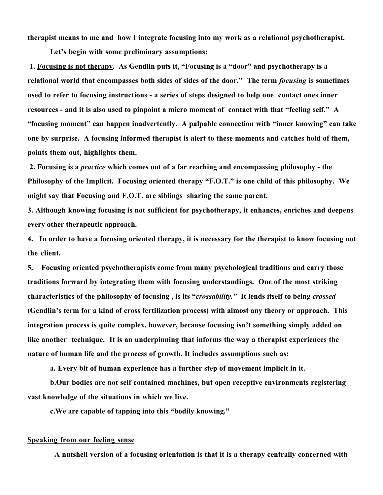therapist means to me and how I integrate focusing into my work as a relational psychotherapist.

Let's begin with some preliminary assumptions:

1. Focusing is not therapy. As Gendlin puts it, "Focusing is a "door" and psychotherapy is a relational world that encompasses both sides of sides of the door." The term *focusing* is sometimes used to refer to focusing instructions - a series of steps designed to help one contact ones inner resources - and it is also used to pinpoint a micro moment of contact with that "feeling self." A "focusing moment" can happen inadvertently. A palpable connection with "inner knowing" can take one by surprise. A focusing informed therapist is alert to these moments and catches hold of them, points them out, highlights them.

2. Focusing is a *practice* which comes out of a far reaching and encompassing philosophy - the Philosophy of the Implicit. Focusing oriented therapy "F.O.T." is one child of this philosophy. We might say that Focusing and F.O.T. are siblings sharing the same parent.

3. Although knowing focusing is not sufficient for psychotherapy, it enhances, enriches and deepens every other therapeutic approach.

4. In order to have a focusing oriented therapy, it is necessary for the therapist to know focusing not the client.

5. Focusing oriented psychotherapists come from many psychological traditions and carry those traditions forward by integrating them with focusing understandings. One of the most striking characteristics of the philosophy of focusing , is its "*crossability."* It lends itself to being *crossed*  (Gendlin's term for a kind of cross fertilization process) with almost any theory or approach. This integration process is quite complex, however, because focusing isn't something simply added on like another technique. It is an underpinning that informs the way a therapist experiences the nature of human life and the process of growth. It includes assumptions such as:

a. Every bit of human experience has a further step of movement implicit in it.

b.Our bodies are not self contained machines, but open receptive environments registering vast knowledge of the situations in which we live.

c.We are capable of tapping into this "bodily knowing."

## Speaking from our feeling sense

A nutshell version of a focusing orientation is that it is a therapy centrally concerned with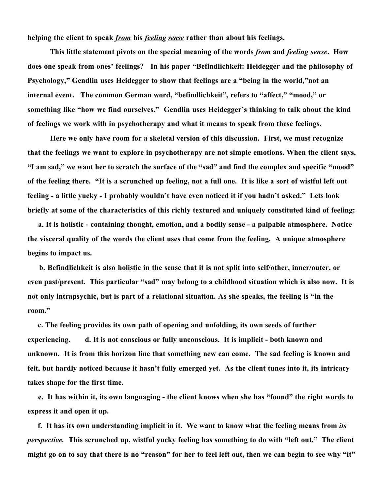helping the client to speak *from* his *feeling sense* rather than about his feelings.

This little statement pivots on the special meaning of the words *from* and *feeling sense*. How does one speak from ones' feelings? In his paper "Befindlichkeit: Heidegger and the philosophy of Psychology," Gendlin uses Heidegger to show that feelings are a "being in the world,"not an internal event. The common German word, "befindlichkeit", refers to "affect," "mood," or something like "how we find ourselves." Gendlin uses Heidegger's thinking to talk about the kind of feelings we work with in psychotherapy and what it means to speak from these feelings.

Here we only have room for a skeletal version of this discussion. First, we must recognize that the feelings we want to explore in psychotherapy are not simple emotions. When the client says, "I am sad," we want her to scratch the surface of the "sad" and find the complex and specific "mood" of the feeling there. "It is a scrunched up feeling, not a full one. It is like a sort of wistful left out feeling - a little yucky - I probably wouldn't have even noticed it if you hadn't asked." Lets look briefly at some of the characteristics of this richly textured and uniquely constituted kind of feeling:

 a. It is holistic - containing thought, emotion, and a bodily sense - a palpable atmosphere. Notice the visceral quality of the words the client uses that come from the feeling. A unique atmosphere begins to impact us.

 b. Befindlichkeit is also holistic in the sense that it is not split into self/other, inner/outer, or even past/present. This particular "sad" may belong to a childhood situation which is also now. It is not only intrapsychic, but is part of a relational situation. As she speaks, the feeling is "in the room."

 c. The feeling provides its own path of opening and unfolding, its own seeds of further experiencing. d. It is not conscious or fully unconscious. It is implicit - both known and unknown. It is from this horizon line that something new can come. The sad feeling is known and felt, but hardly noticed because it hasn't fully emerged yet. As the client tunes into it, its intricacy takes shape for the first time.

 e. It has within it, its own languaging - the client knows when she has "found" the right words to express it and open it up.

 f. It has its own understanding implicit in it. We want to know what the feeling means from *its perspective.* This scrunched up, wistful yucky feeling has something to do with "left out." The client might go on to say that there is no "reason" for her to feel left out, then we can begin to see why "it"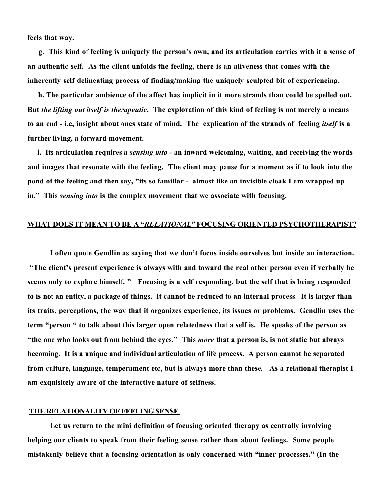feels that way.

 g. This kind of feeling is uniquely the person's own, and its articulation carries with it a sense of an authentic self. As the client unfolds the feeling, there is an aliveness that comes with the inherently self delineating process of finding/making the uniquely sculpted bit of experiencing.

 h. The particular ambience of the affect has implicit in it more strands than could be spelled out. But *the lifting out itself is therapeutic*. The exploration of this kind of feeling is not merely a means to an end - i.e, insight about ones state of mind. The explication of the strands of feeling *itself* is a further living, a forward movement.

 i. Its articulation requires a *sensing into -* an inward welcoming, waiting, and receiving the words and images that resonate with the feeling. The client may pause for a moment as if to look into the pond of the feeling and then say, "its so familiar - almost like an invisible cloak I am wrapped up in." This *sensing into* is the complex movement that we associate with focusing.

### WHAT DOES IT MEAN TO BE A "*RELATIONAL"* FOCUSING ORIENTED PSYCHOTHERAPIST?

I often quote Gendlin as saying that we don't focus inside ourselves but inside an interaction. "The client's present experience is always with and toward the real other person even if verbally he seems only to explore himself. " Focusing is a self responding, but the self that is being responded to is not an entity, a package of things. It cannot be reduced to an internal process. It is larger than its traits, perceptions, the way that it organizes experience, its issues or problems. Gendlin uses the term "person " to talk about this larger open relatedness that a self is. He speaks of the person as "the one who looks out from behind the eyes." This *more* that a person is, is not static but always becoming. It is a unique and individual articulation of life process. A person cannot be separated from culture, language, temperament etc, but is always more than these. As a relational therapist I am exquisitely aware of the interactive nature of selfness.

### THE RELATIONALITY OF FEELING SENSE

Let us return to the mini definition of focusing oriented therapy as centrally involving helping our clients to speak from their feeling sense rather than about feelings. Some people mistakenly believe that a focusing orientation is only concerned with "inner processes." (In the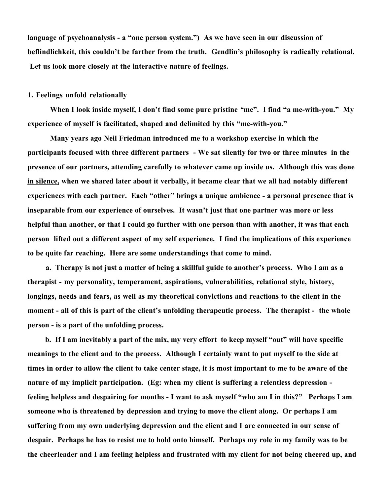language of psychoanalysis - a "one person system.") As we have seen in our discussion of beflindlichkeit, this couldn't be farther from the truth. Gendlin's philosophy is radically relational. Let us look more closely at the interactive nature of feelings.

### 1. Feelings unfold relationally

When I look inside myself, I don't find some pure pristine "me". I find "a me-with-you." My experience of myself is facilitated, shaped and delimited by this "me-with-you."

Many years ago Neil Friedman introduced me to a workshop exercise in which the participants focused with three different partners - We sat silently for two or three minutes in the presence of our partners, attending carefully to whatever came up inside us. Although this was done in silence, when we shared later about it verbally, it became clear that we all had notably different experiences with each partner. Each "other" brings a unique ambience - a personal presence that is inseparable from our experience of ourselves. It wasn't just that one partner was more or less helpful than another, or that I could go further with one person than with another, it was that each person lifted out a different aspect of my self experience. I find the implications of this experience to be quite far reaching. Here are some understandings that come to mind.

 a. Therapy is not just a matter of being a skillful guide to another's process. Who I am as a therapist - my personality, temperament, aspirations, vulnerabilities, relational style, history, longings, needs and fears, as well as my theoretical convictions and reactions to the client in the moment - all of this is part of the client's unfolding therapeutic process. The therapist - the whole person - is a part of the unfolding process.

 b. If I am inevitably a part of the mix, my very effort to keep myself "out" will have specific meanings to the client and to the process. Although I certainly want to put myself to the side at times in order to allow the client to take center stage, it is most important to me to be aware of the nature of my implicit participation. (Eg: when my client is suffering a relentless depression feeling helpless and despairing for months - I want to ask myself "who am I in this?" Perhaps I am someone who is threatened by depression and trying to move the client along. Or perhaps I am suffering from my own underlying depression and the client and I are connected in our sense of despair. Perhaps he has to resist me to hold onto himself. Perhaps my role in my family was to be the cheerleader and I am feeling helpless and frustrated with my client for not being cheered up, and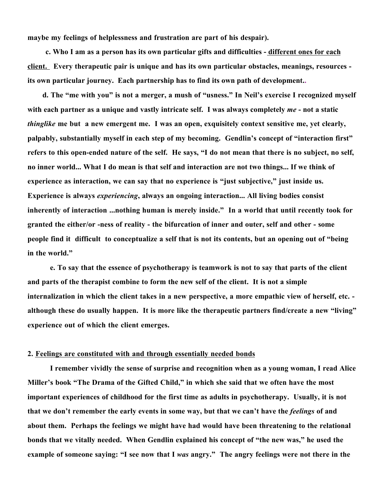maybe my feelings of helplessness and frustration are part of his despair).

 c. Who I am as a person has its own particular gifts and difficulties - different ones for each client. Every therapeutic pair is unique and has its own particular obstacles, meanings, resources its own particular journey. Each partnership has to find its own path of development..

 d. The "me with you" is not a merger, a mush of "usness." In Neil's exercise I recognized myself with each partner as a unique and vastly intricate self. I was always completely *me* - not a static *thinglike* me but a new emergent me. I was an open, exquisitely context sensitive me, yet clearly, palpably, substantially myself in each step of my becoming. Gendlin's concept of "interaction first" refers to this open-ended nature of the self. He says, "I do not mean that there is no subject, no self, no inner world... What I do mean is that self and interaction are not two things... If we think of experience as interaction, we can say that no experience is "just subjective," just inside us. Experience is always *experiencing*, always an ongoing interaction... All living bodies consist inherently of interaction ...nothing human is merely inside." In a world that until recently took for granted the either/or -ness of reality - the bifurcation of inner and outer, self and other - some people find it difficult to conceptualize a self that is not its contents, but an opening out of "being in the world."

e. To say that the essence of psychotherapy is teamwork is not to say that parts of the client and parts of the therapist combine to form the new self of the client. It is not a simple internalization in which the client takes in a new perspective, a more empathic view of herself, etc. although these do usually happen. It is more like the therapeutic partners find/create a new "living" experience out of which the client emerges.

### 2. Feelings are constituted with and through essentially needed bonds

I remember vividly the sense of surprise and recognition when as a young woman, I read Alice Miller's book "The Drama of the Gifted Child," in which she said that we often have the most important experiences of childhood for the first time as adults in psychotherapy. Usually, it is not that we don't remember the early events in some way, but that we can't have the *feelings* of and about them. Perhaps the feelings we might have had would have been threatening to the relational bonds that we vitally needed. When Gendlin explained his concept of "the new was," he used the example of someone saying: "I see now that I *was* angry." The angry feelings were not there in the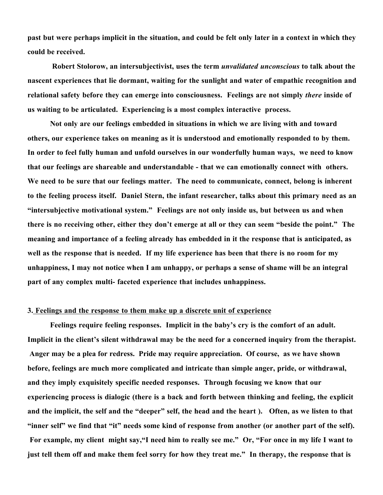past but were perhaps implicit in the situation, and could be felt only later in a context in which they could be received.

Robert Stolorow, an intersubjectivist, uses the term *unvalidated unconscious* to talk about the nascent experiences that lie dormant, waiting for the sunlight and water of empathic recognition and relational safety before they can emerge into consciousness. Feelings are not simply *there* inside of us waiting to be articulated. Experiencing is a most complex interactive process.

Not only are our feelings embedded in situations in which we are living with and toward others, our experience takes on meaning as it is understood and emotionally responded to by them. In order to feel fully human and unfold ourselves in our wonderfully human ways, we need to know that our feelings are shareable and understandable - that we can emotionally connect with others. We need to be sure that our feelings matter. The need to communicate, connect, belong is inherent to the feeling process itself. Daniel Stern, the infant researcher, talks about this primary need as an "intersubjective motivational system." Feelings are not only inside us, but between us and when there is no receiving other, either they don't emerge at all or they can seem "beside the point." The meaning and importance of a feeling already has embedded in it the response that is anticipated, as well as the response that is needed. If my life experience has been that there is no room for my unhappiness, I may not notice when I am unhappy, or perhaps a sense of shame will be an integral part of any complex multi- faceted experience that includes unhappiness.

## 3. Feelings and the response to them make up a discrete unit of experience

Feelings require feeling responses. Implicit in the baby's cry is the comfort of an adult. Implicit in the client's silent withdrawal may be the need for a concerned inquiry from the therapist. Anger may be a plea for redress. Pride may require appreciation. Of course, as we have shown before, feelings are much more complicated and intricate than simple anger, pride, or withdrawal, and they imply exquisitely specific needed responses. Through focusing we know that our experiencing process is dialogic (there is a back and forth between thinking and feeling, the explicit and the implicit, the self and the "deeper" self, the head and the heart ). Often, as we listen to that "inner self" we find that "it" needs some kind of response from another (or another part of the self). For example, my client might say,"I need him to really see me." Or, "For once in my life I want to just tell them off and make them feel sorry for how they treat me." In therapy, the response that is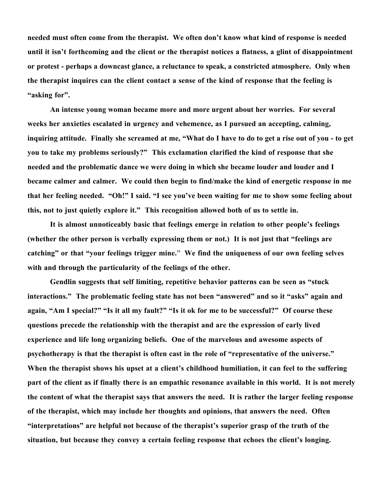needed must often come from the therapist. We often don't know what kind of response is needed until it isn't forthcoming and the client or the therapist notices a flatness, a glint of disappointment or protest - perhaps a downcast glance, a reluctance to speak, a constricted atmosphere. Only when the therapist inquires can the client contact a sense of the kind of response that the feeling is "asking for".

An intense young woman became more and more urgent about her worries. For several weeks her anxieties escalated in urgency and vehemence, as I pursued an accepting, calming, inquiring attitude. Finally she screamed at me, "What do I have to do to get a rise out of you - to get you to take my problems seriously?" This exclamation clarified the kind of response that she needed and the problematic dance we were doing in which she became louder and louder and I became calmer and calmer. We could then begin to find/make the kind of energetic response in me that her feeling needed. "Oh!" I said. "I see you've been waiting for me to show some feeling about this, not to just quietly explore it." This recognition allowed both of us to settle in.

It is almost unnoticeably basic that feelings emerge in relation to other people's feelings (whether the other person is verbally expressing them or not.) It is not just that "feelings are catching" or that "your feelings trigger mine." We find the uniqueness of our own feeling selves with and through the particularity of the feelings of the other.

Gendlin suggests that self limiting, repetitive behavior patterns can be seen as "stuck interactions." The problematic feeling state has not been "answered" and so it "asks" again and again, "Am I special?" "Is it all my fault?" "Is it ok for me to be successful?" Of course these questions precede the relationship with the therapist and are the expression of early lived experience and life long organizing beliefs. One of the marvelous and awesome aspects of psychotherapy is that the therapist is often cast in the role of "representative of the universe." When the therapist shows his upset at a client's childhood humiliation, it can feel to the suffering part of the client as if finally there is an empathic resonance available in this world. It is not merely the content of what the therapist says that answers the need. It is rather the larger feeling response of the therapist, which may include her thoughts and opinions, that answers the need. Often "interpretations" are helpful not because of the therapist's superior grasp of the truth of the situation, but because they convey a certain feeling response that echoes the client's longing.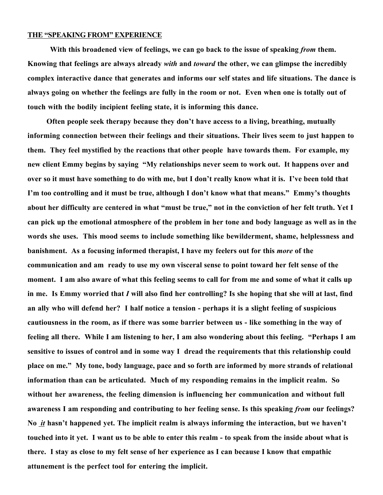### THE "SPEAKING FROM" EXPERIENCE

With this broadened view of feelings, we can go back to the issue of speaking *from* them. Knowing that feelings are always already *with* and *toward* the other, we can glimpse the incredibly complex interactive dance that generates and informs our self states and life situations. The dance is always going on whether the feelings are fully in the room or not. Even when one is totally out of touch with the bodily incipient feeling state, it is informing this dance.

 Often people seek therapy because they don't have access to a living, breathing, mutually informing connection between their feelings and their situations. Their lives seem to just happen to them. They feel mystified by the reactions that other people have towards them. For example, my new client Emmy begins by saying "My relationships never seem to work out. It happens over and over so it must have something to do with me, but I don't really know what it is. I've been told that I'm too controlling and it must be true, although I don't know what that means." Emmy's thoughts about her difficulty are centered in what "must be true," not in the conviction of her felt truth. Yet I can pick up the emotional atmosphere of the problem in her tone and body language as well as in the words she uses. This mood seems to include something like bewilderment, shame, helplessness and banishment. As a focusing informed therapist, I have my feelers out for this *more* of the communication and am ready to use my own visceral sense to point toward her felt sense of the moment. I am also aware of what this feeling seems to call for from me and some of what it calls up in me. Is Emmy worried that *I* will also find her controlling? Is she hoping that she will at last, find an ally who will defend her? I half notice a tension - perhaps it is a slight feeling of suspicious cautiousness in the room, as if there was some barrier between us - like something in the way of feeling all there. While I am listening to her, I am also wondering about this feeling. "Perhaps I am sensitive to issues of control and in some way I dread the requirements that this relationship could place on me." My tone, body language, pace and so forth are informed by more strands of relational information than can be articulated. Much of my responding remains in the implicit realm. So without her awareness, the feeling dimension is influencing her communication and without full awareness I am responding and contributing to her feeling sense. Is this speaking *from* our feelings? No *it* hasn't happened yet. The implicit realm is always informing the interaction, but we haven't touched into it yet. I want us to be able to enter this realm - to speak from the inside about what is there. I stay as close to my felt sense of her experience as I can because I know that empathic attunement is the perfect tool for entering the implicit.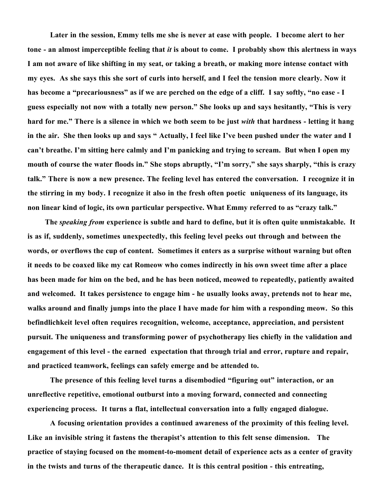Later in the session, Emmy tells me she is never at ease with people. I become alert to her tone - an almost imperceptible feeling that *it* is about to come. I probably show this alertness in ways I am not aware of like shifting in my seat, or taking a breath, or making more intense contact with my eyes. As she says this she sort of curls into herself, and I feel the tension more clearly. Now it has become a "precariousness" as if we are perched on the edge of a cliff. I say softly, "no ease - I guess especially not now with a totally new person." She looks up and says hesitantly, "This is very hard for me." There is a silence in which we both seem to be just *with* that hardness - letting it hang in the air. She then looks up and says " Actually, I feel like I've been pushed under the water and I can't breathe. I'm sitting here calmly and I'm panicking and trying to scream. But when I open my mouth of course the water floods in." She stops abruptly, "I'm sorry," she says sharply, "this is crazy talk." There is now a new presence. The feeling level has entered the conversation. I recognize it in the stirring in my body. I recognize it also in the fresh often poetic uniqueness of its language, its non linear kind of logic, its own particular perspective. What Emmy referred to as "crazy talk."

 The *speaking from* experience is subtle and hard to define, but it is often quite unmistakable. It is as if, suddenly, sometimes unexpectedly, this feeling level peeks out through and between the words, or overflows the cup of content. Sometimes it enters as a surprise without warning but often it needs to be coaxed like my cat Romeow who comes indirectly in his own sweet time after a place has been made for him on the bed, and he has been noticed, meowed to repeatedly, patiently awaited and welcomed. It takes persistence to engage him - he usually looks away, pretends not to hear me, walks around and finally jumps into the place I have made for him with a responding meow. So this befindlichkeit level often requires recognition, welcome, acceptance, appreciation, and persistent pursuit. The uniqueness and transforming power of psychotherapy lies chiefly in the validation and engagement of this level - the earned expectation that through trial and error, rupture and repair, and practiced teamwork, feelings can safely emerge and be attended to.

The presence of this feeling level turns a disembodied "figuring out" interaction, or an unreflective repetitive, emotional outburst into a moving forward, connected and connecting experiencing process. It turns a flat, intellectual conversation into a fully engaged dialogue.

A focusing orientation provides a continued awareness of the proximity of this feeling level. Like an invisible string it fastens the therapist's attention to this felt sense dimension. The practice of staying focused on the moment-to-moment detail of experience acts as a center of gravity in the twists and turns of the therapeutic dance. It is this central position - this entreating,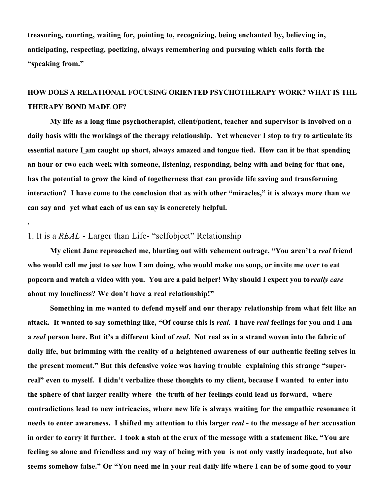treasuring, courting, waiting for, pointing to, recognizing, being enchanted by, believing in, anticipating, respecting, poetizing, always remembering and pursuing which calls forth the "speaking from."

# HOW DOES A RELATIONAL FOCUSING ORIENTED PSYCHOTHERAPY WORK? WHAT IS THE THERAPY BOND MADE OF?

My life as a long time psychotherapist, client/patient, teacher and supervisor is involved on a daily basis with the workings of the therapy relationship. Yet whenever I stop to try to articulate its essential nature I am caught up short, always amazed and tongue tied. How can it be that spending an hour or two each week with someone, listening, responding, being with and being for that one, has the potential to grow the kind of togetherness that can provide life saving and transforming interaction? I have come to the conclusion that as with other "miracles," it is always more than we can say and yet what each of us can say is concretely helpful.

# 1. It is a *REAL* - Larger than Life- "selfobject" Relationship

.

My client Jane reproached me, blurting out with vehement outrage, "You aren't a *real* friend who would call me just to see how I am doing, who would make me soup, or invite me over to eat popcorn and watch a video with you. You are a paid helper! Why should I expect you to *really care*  about my loneliness? We don't have a real relationship!"

Something in me wanted to defend myself and our therapy relationship from what felt like an attack. It wanted to say something like, "Of course this is *real.* I have *real* feelings for you and I am a *real* person here. But it's a different kind of *real*. Not real as in a strand woven into the fabric of daily life, but brimming with the reality of a heightened awareness of our authentic feeling selves in the present moment." But this defensive voice was having trouble explaining this strange "superreal" even to myself. I didn't verbalize these thoughts to my client, because I wanted to enter into the sphere of that larger reality where the truth of her feelings could lead us forward, where contradictions lead to new intricacies, where new life is always waiting for the empathic resonance it needs to enter awareness. I shifted my attention to this larger *real* - to the message of her accusation in order to carry it further. I took a stab at the crux of the message with a statement like, "You are feeling so alone and friendless and my way of being with you is not only vastly inadequate, but also seems somehow false." Or "You need me in your real daily life where I can be of some good to your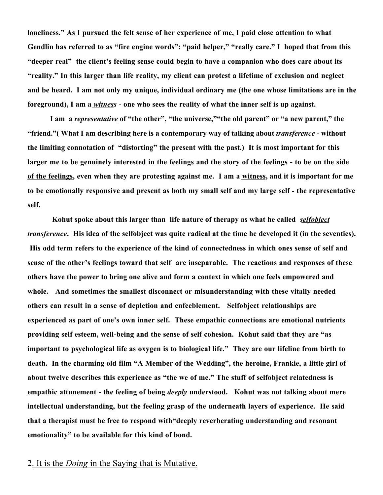loneliness." As I pursued the felt sense of her experience of me, I paid close attention to what Gendlin has referred to as "fire engine words": "paid helper," "really care." I hoped that from this "deeper real" the client's feeling sense could begin to have a companion who does care about its "reality." In this larger than life reality, my client can protest a lifetime of exclusion and neglect and be heard. I am not only my unique, individual ordinary me (the one whose limitations are in the foreground), I am a *witness* - one who sees the reality of what the inner self is up against.

I am a *representative* of "the other", "the universe," "the old parent" or "a new parent," the "friend."( What I am describing here is a contemporary way of talking about *transference* - without the limiting connotation of "distorting" the present with the past.) It is most important for this larger me to be genuinely interested in the feelings and the story of the feelings - to be on the side of the feelings, even when they are protesting against me. I am a witness, and it is important for me to be emotionally responsive and present as both my small self and my large self - the representative self.

Kohut spoke about this larger than life nature of therapy as what he called *selfobject transference*. His idea of the selfobject was quite radical at the time he developed it (in the seventies). His odd term refers to the experience of the kind of connectedness in which ones sense of self and sense of the other's feelings toward that self are inseparable. The reactions and responses of these others have the power to bring one alive and form a context in which one feels empowered and whole. And sometimes the smallest disconnect or misunderstanding with these vitally needed others can result in a sense of depletion and enfeeblement. Selfobject relationships are experienced as part of one's own inner self. These empathic connections are emotional nutrients providing self esteem, well-being and the sense of self cohesion. Kohut said that they are "as important to psychological life as oxygen is to biological life." They are our lifeline from birth to death. In the charming old film "A Member of the Wedding", the heroine, Frankie, a little girl of about twelve describes this experience as "the we of me." The stuff of selfobject relatedness is empathic attunement - the feeling of being *deeply* understood. Kohut was not talking about mere intellectual understanding, but the feeling grasp of the underneath layers of experience. He said that a therapist must be free to respond with"deeply reverberating understanding and resonant emotionality" to be available for this kind of bond.

# 2. It is the *Doing* in the Saying that is Mutative.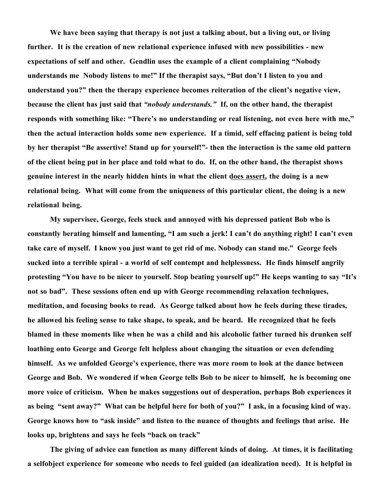We have been saying that therapy is not just a talking about, but a living out, or living further. It is the creation of new relational experience infused with new possibilities - new expectations of self and other. Gendlin uses the example of a client complaining "Nobody understands me Nobody listens to me!" If the therapist says, "But don't I listen to you and understand you?" then the therapy experience becomes reiteration of the client's negative view, because the client has just said that *"nobody understands."* If, on the other hand, the therapist responds with something like: "There's no understanding or real listening, not even here with me," then the actual interaction holds some new experience. If a timid, self effacing patient is being told by her therapist "Be assertive! Stand up for yourself!"- then the interaction is the same old pattern of the client being put in her place and told what to do. If, on the other hand, the therapist shows genuine interest in the nearly hidden hints in what the client does assert, the doing is a new relational being. What will come from the uniqueness of this particular client, the doing is a new relational being.

My supervisee, George, feels stuck and annoyed with his depressed patient Bob who is constantly berating himself and lamenting, "I am such a jerk! I can't do anything right! I can't even take care of myself. I know you just want to get rid of me. Nobody can stand me." George feels sucked into a terrible spiral - a world of self contempt and helplessness. He finds himself angrily protesting "You have to be nicer to yourself. Stop beating yourself up!" He keeps wanting to say "It's not so bad". These sessions often end up with George recommending relaxation techniques, meditation, and focusing books to read. As George talked about how he feels during these tirades, he allowed his feeling sense to take shape, to speak, and be heard. He recognized that he feels blamed in these moments like when he was a child and his alcoholic father turned his drunken self loathing onto George and George felt helpless about changing the situation or even defending himself. As we unfolded George's experience, there was more room to look at the dance between George and Bob. We wondered if when George tells Bob to be nicer to himself, he is becoming one more voice of criticism. When he makes suggestions out of desperation, perhaps Bob experiences it as being "sent away?" What can be helpful here for both of you?" I ask, in a focusing kind of way. George knows how to "ask inside" and listen to the nuance of thoughts and feelings that arise. He looks up, brightens and says he feels "back on track"

The giving of advice can function as many different kinds of doing. At times, it is facilitating a selfobject experience for someone who needs to feel guided (an idealization need). It is helpful in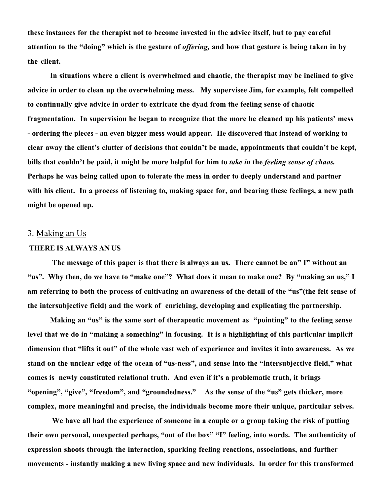these instances for the therapist not to become invested in the advice itself, but to pay careful attention to the "doing" which is the gesture of *offering,* and how that gesture is being taken in by the client.

In situations where a client is overwhelmed and chaotic, the therapist may be inclined to give advice in order to clean up the overwhelming mess. My supervisee Jim, for example, felt compelled to continually give advice in order to extricate the dyad from the feeling sense of chaotic fragmentation. In supervision he began to recognize that the more he cleaned up his patients' mess - ordering the pieces - an even bigger mess would appear. He discovered that instead of working to clear away the client's clutter of decisions that couldn't be made, appointments that couldn't be kept, bills that couldn't be paid, it might be more helpful for him to *take in* the *feeling sense of chaos.* Perhaps he was being called upon to tolerate the mess in order to deeply understand and partner with his client. In a process of listening to, making space for, and bearing these feelings, a new path might be opened up.

## 3. Making an Us

## THERE IS ALWAYS AN US

The message of this paper is that there is always an us. There cannot be an" I" without an "us". Why then, do we have to "make one"? What does it mean to make one? By "making an us," I am referring to both the process of cultivating an awareness of the detail of the "us"(the felt sense of the intersubjective field) and the work of enriching, developing and explicating the partnership.

Making an "us" is the same sort of therapeutic movement as "pointing" to the feeling sense level that we do in "making a something" in focusing. It is a highlighting of this particular implicit dimension that "lifts it out" of the whole vast web of experience and invites it into awareness. As we stand on the unclear edge of the ocean of "us-ness", and sense into the "intersubjective field," what comes is newly constituted relational truth. And even if it's a problematic truth, it brings "opening", "give", "freedom", and "groundedness." As the sense of the "us" gets thicker, more complex, more meaningful and precise, the individuals become more their unique, particular selves.

We have all had the experience of someone in a couple or a group taking the risk of putting their own personal, unexpected perhaps, "out of the box" "I" feeling, into words. The authenticity of expression shoots through the interaction, sparking feeling reactions, associations, and further movements - instantly making a new living space and new individuals. In order for this transformed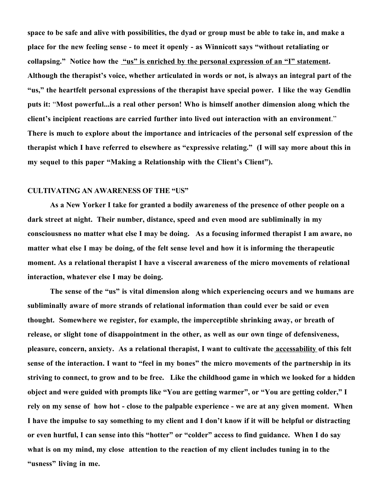space to be safe and alive with possibilities, the dyad or group must be able to take in, and make a place for the new feeling sense - to meet it openly - as Winnicott says "without retaliating or collapsing." Notice how the "us" is enriched by the personal expression of an "I" statement. Although the therapist's voice, whether articulated in words or not, is always an integral part of the "us," the heartfelt personal expressions of the therapist have special power. I like the way Gendlin puts it: "Most powerful...is a real other person! Who is himself another dimension along which the client's incipient reactions are carried further into lived out interaction with an environment." There is much to explore about the importance and intricacies of the personal self expression of the therapist which I have referred to elsewhere as "expressive relating." (I will say more about this in my sequel to this paper "Making a Relationship with the Client's Client").

# CULTIVATING AN AWARENESS OF THE "US"

As a New Yorker I take for granted a bodily awareness of the presence of other people on a dark street at night. Their number, distance, speed and even mood are subliminally in my consciousness no matter what else I may be doing. As a focusing informed therapist I am aware, no matter what else I may be doing, of the felt sense level and how it is informing the therapeutic moment. As a relational therapist I have a visceral awareness of the micro movements of relational interaction, whatever else I may be doing.

The sense of the "us" is vital dimension along which experiencing occurs and we humans are subliminally aware of more strands of relational information than could ever be said or even thought. Somewhere we register, for example, the imperceptible shrinking away, or breath of release, or slight tone of disappointment in the other, as well as our own tinge of defensiveness, pleasure, concern, anxiety. As a relational therapist, I want to cultivate the accessability of this felt sense of the interaction. I want to "feel in my bones" the micro movements of the partnership in its striving to connect, to grow and to be free. Like the childhood game in which we looked for a hidden object and were guided with prompts like "You are getting warmer", or "You are getting colder," I rely on my sense of how hot - close to the palpable experience - we are at any given moment. When I have the impulse to say something to my client and I don't know if it will be helpful or distracting or even hurtful, I can sense into this "hotter" or "colder" access to find guidance. When I do say what is on my mind, my close attention to the reaction of my client includes tuning in to the "usness" living in me.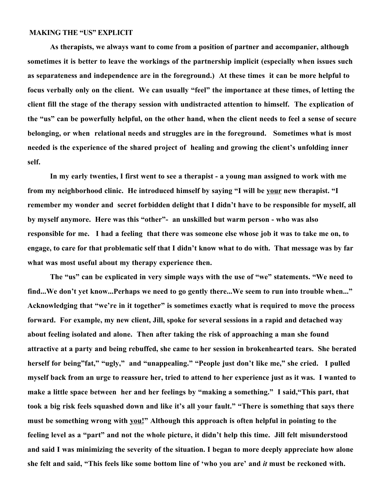# MAKING THE "US" EXPLICIT

As therapists, we always want to come from a position of partner and accompanier, although sometimes it is better to leave the workings of the partnership implicit (especially when issues such as separateness and independence are in the foreground.) At these times it can be more helpful to focus verbally only on the client. We can usually "feel" the importance at these times, of letting the client fill the stage of the therapy session with undistracted attention to himself. The explication of the "us" can be powerfully helpful, on the other hand, when the client needs to feel a sense of secure belonging, or when relational needs and struggles are in the foreground. Sometimes what is most needed is the experience of the shared project of healing and growing the client's unfolding inner self.

In my early twenties, I first went to see a therapist - a young man assigned to work with me from my neighborhood clinic. He introduced himself by saying "I will be your new therapist. "I remember my wonder and secret forbidden delight that I didn't have to be responsible for myself, all by myself anymore. Here was this "other"- an unskilled but warm person - who was also responsible for me. I had a feeling that there was someone else whose job it was to take me on, to engage, to care for that problematic self that I didn't know what to do with. That message was by far what was most useful about my therapy experience then.

The "us" can be explicated in very simple ways with the use of "we" statements. "We need to find...We don't yet know...Perhaps we need to go gently there...We seem to run into trouble when..." Acknowledging that "we're in it together" is sometimes exactly what is required to move the process forward. For example, my new client, Jill, spoke for several sessions in a rapid and detached way about feeling isolated and alone. Then after taking the risk of approaching a man she found attractive at a party and being rebuffed, she came to her session in brokenhearted tears. She berated herself for being"fat," "ugly," and "unappealing." "People just don't like me," she cried. I pulled myself back from an urge to reassure her, tried to attend to her experience just as it was. I wanted to make a little space between her and her feelings by "making a something." I said,"This part, that took a big risk feels squashed down and like it's all your fault." "There is something that says there must be something wrong with you!" Although this approach is often helpful in pointing to the feeling level as a "part" and not the whole picture, it didn't help this time. Jill felt misunderstood and said I was minimizing the severity of the situation. I began to more deeply appreciate how alone she felt and said, "This feels like some bottom line of 'who you are' and *it* must be reckoned with.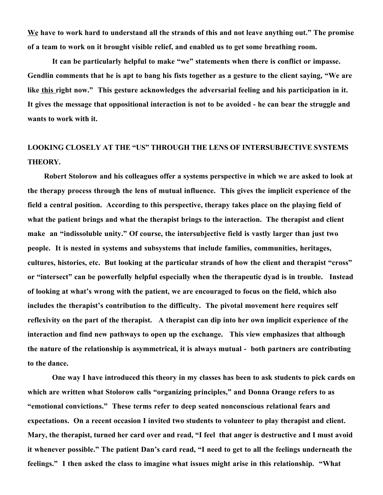We have to work hard to understand all the strands of this and not leave anything out." The promise of a team to work on it brought visible relief, and enabled us to get some breathing room.

It can be particularly helpful to make "we" statements when there is conflict or impasse. Gendlin comments that he is apt to bang his fists together as a gesture to the client saying, "We are like this right now." This gesture acknowledges the adversarial feeling and his participation in it. It gives the message that oppositional interaction is not to be avoided - he can bear the struggle and wants to work with it.

# LOOKING CLOSELY AT THE "US" THROUGH THE LENS OF INTERSUBJECTIVE SYSTEMS THEORY.

 Robert Stolorow and his colleagues offer a systems perspective in which we are asked to look at the therapy process through the lens of mutual influence. This gives the implicit experience of the field a central position. According to this perspective, therapy takes place on the playing field of what the patient brings and what the therapist brings to the interaction. The therapist and client make an "indissoluble unity." Of course, the intersubjective field is vastly larger than just two people. It is nested in systems and subsystems that include families, communities, heritages, cultures, histories, etc. But looking at the particular strands of how the client and therapist "cross" or "intersect" can be powerfully helpful especially when the therapeutic dyad is in trouble. Instead of looking at what's wrong with the patient, we are encouraged to focus on the field, which also includes the therapist's contribution to the difficulty. The pivotal movement here requires self reflexivity on the part of the therapist. A therapist can dip into her own implicit experience of the interaction and find new pathways to open up the exchange. This view emphasizes that although the nature of the relationship is asymmetrical, it is always mutual - both partners are contributing to the dance.

One way I have introduced this theory in my classes has been to ask students to pick cards on which are written what Stolorow calls "organizing principles," and Donna Orange refers to as "emotional convictions." These terms refer to deep seated nonconscious relational fears and expectations. On a recent occasion I invited two students to volunteer to play therapist and client. Mary, the therapist, turned her card over and read, "I feel that anger is destructive and I must avoid it whenever possible." The patient Dan's card read, "I need to get to all the feelings underneath the feelings." I then asked the class to imagine what issues might arise in this relationship. "What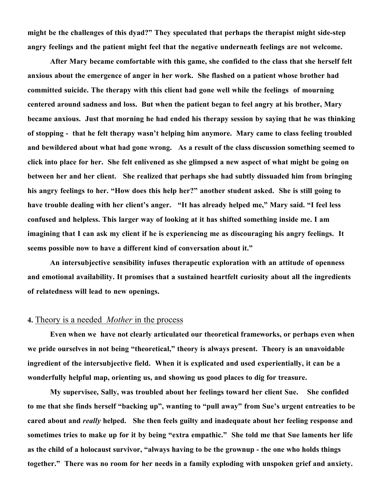might be the challenges of this dyad?" They speculated that perhaps the therapist might side-step angry feelings and the patient might feel that the negative underneath feelings are not welcome.

After Mary became comfortable with this game, she confided to the class that she herself felt anxious about the emergence of anger in her work. She flashed on a patient whose brother had committed suicide. The therapy with this client had gone well while the feelings of mourning centered around sadness and loss. But when the patient began to feel angry at his brother, Mary became anxious. Just that morning he had ended his therapy session by saying that he was thinking of stopping - that he felt therapy wasn't helping him anymore. Mary came to class feeling troubled and bewildered about what had gone wrong. As a result of the class discussion something seemed to click into place for her. She felt enlivened as she glimpsed a new aspect of what might be going on between her and her client. She realized that perhaps she had subtly dissuaded him from bringing his angry feelings to her. "How does this help her?" another student asked. She is still going to have trouble dealing with her client's anger. "It has already helped me," Mary said. "I feel less confused and helpless. This larger way of looking at it has shifted something inside me. I am imagining that I can ask my client if he is experiencing me as discouraging his angry feelings. It seems possible now to have a different kind of conversation about it."

An intersubjective sensibility infuses therapeutic exploration with an attitude of openness and emotional availability. It promises that a sustained heartfelt curiosity about all the ingredients of relatedness will lead to new openings.

# 4. Theory is a needed *Mother* in the process

Even when we have not clearly articulated our theoretical frameworks, or perhaps even when we pride ourselves in not being "theoretical," theory is always present. Theory is an unavoidable ingredient of the intersubjective field. When it is explicated and used experientially, it can be a wonderfully helpful map, orienting us, and showing us good places to dig for treasure.

My supervisee, Sally, was troubled about her feelings toward her client Sue. She confided to me that she finds herself "backing up", wanting to "pull away" from Sue's urgent entreaties to be cared about and *really* helped. She then feels guilty and inadequate about her feeling response and sometimes tries to make up for it by being "extra empathic." She told me that Sue laments her life as the child of a holocaust survivor, "always having to be the grownup - the one who holds things together." There was no room for her needs in a family exploding with unspoken grief and anxiety.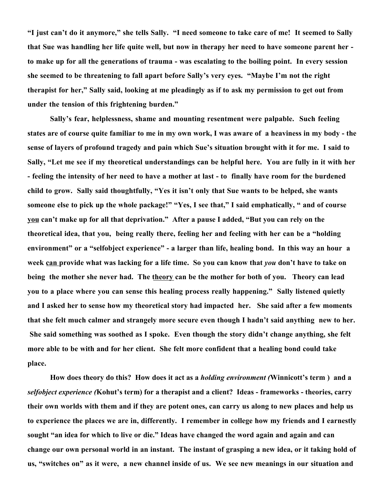"I just can't do it anymore," she tells Sally. "I need someone to take care of me! It seemed to Sally that Sue was handling her life quite well, but now in therapy her need to have someone parent her to make up for all the generations of trauma - was escalating to the boiling point. In every session she seemed to be threatening to fall apart before Sally's very eyes. "Maybe I'm not the right therapist for her," Sally said, looking at me pleadingly as if to ask my permission to get out from under the tension of this frightening burden."

Sally's fear, helplessness, shame and mounting resentment were palpable. Such feeling states are of course quite familiar to me in my own work, I was aware of a heaviness in my body - the sense of layers of profound tragedy and pain which Sue's situation brought with it for me. I said to Sally, "Let me see if my theoretical understandings can be helpful here. You are fully in it with her - feeling the intensity of her need to have a mother at last - to finally have room for the burdened child to grow. Sally said thoughtfully, "Yes it isn't only that Sue wants to be helped, she wants someone else to pick up the whole package!" "Yes, I see that," I said emphatically, " and of course you can't make up for all that deprivation." After a pause I added, "But you can rely on the theoretical idea, that you, being really there, feeling her and feeling with her can be a "holding environment" or a "selfobject experience" - a larger than life, healing bond. In this way an hour a week can provide what was lacking for a life time. So you can know that *you* don't have to take on being the mother she never had. The theory can be the mother for both of you. Theory can lead you to a place where you can sense this healing process really happening." Sally listened quietly and I asked her to sense how my theoretical story had impacted her. She said after a few moments that she felt much calmer and strangely more secure even though I hadn't said anything new to her. She said something was soothed as I spoke. Even though the story didn't change anything, she felt more able to be with and for her client. She felt more confident that a healing bond could take place.

How does theory do this? How does it act as a *holding environment (*Winnicott's term ) and a *selfobject experience (*Kohut's term) for a therapist and a client? Ideas - frameworks - theories, carry their own worlds with them and if they are potent ones, can carry us along to new places and help us to experience the places we are in, differently. I remember in college how my friends and I earnestly sought "an idea for which to live or die." Ideas have changed the word again and again and can change our own personal world in an instant. The instant of grasping a new idea, or it taking hold of us, "switches on" as it were, a new channel inside of us. We see new meanings in our situation and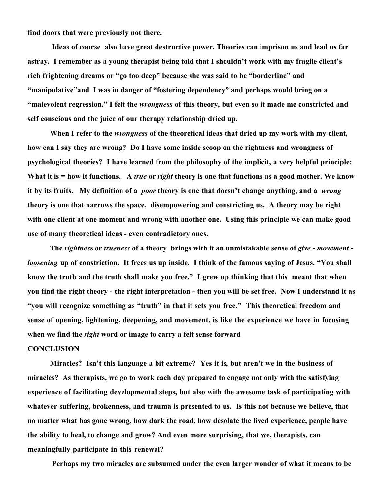find doors that were previously not there.

Ideas of course also have great destructive power. Theories can imprison us and lead us far astray. I remember as a young therapist being told that I shouldn't work with my fragile client's rich frightening dreams or "go too deep" because she was said to be "borderline" and "manipulative"and I was in danger of "fostering dependency" and perhaps would bring on a "malevolent regression." I felt the *wrongness* of this theory, but even so it made me constricted and self conscious and the juice of our therapy relationship dried up.

When I refer to the *wrongness* of the theoretical ideas that dried up my work with my client, how can I say they are wrong? Do I have some inside scoop on the rightness and wrongness of psychological theories? I have learned from the philosophy of the implicit, a very helpful principle: What it is = how it functions. A *true* or *right* theory is one that functions as a good mother. We know it by its fruits. My definition of a *poor* theory is one that doesn't change anything, and a *wrong* theory is one that narrows the space, disempowering and constricting us. A theory may be right with one client at one moment and wrong with another one. Using this principle we can make good use of many theoretical ideas - even contradictory ones.

The *rightnes*s or *trueness* of a theory brings with it an unmistakable sense of *give - movement loosening* up of constriction. It frees us up inside. I think of the famous saying of Jesus. "You shall know the truth and the truth shall make you free." I grew up thinking that this meant that when you find the right theory - the right interpretation - then you will be set free. Now I understand it as "you will recognize something as "truth" in that it sets you free." This theoretical freedom and sense of opening, lightening, deepening, and movement, is like the experience we have in focusing when we find the *right* word or image to carry a felt sense forward

## **CONCLUSION**

Miracles? Isn't this language a bit extreme? Yes it is, but aren't we in the business of miracles? As therapists, we go to work each day prepared to engage not only with the satisfying experience of facilitating developmental steps, but also with the awesome task of participating with whatever suffering, brokenness, and trauma is presented to us. Is this not because we believe, that no matter what has gone wrong, how dark the road, how desolate the lived experience, people have the ability to heal, to change and grow? And even more surprising, that we, therapists, can meaningfully participate in this renewal?

Perhaps my two miracles are subsumed under the even larger wonder of what it means to be